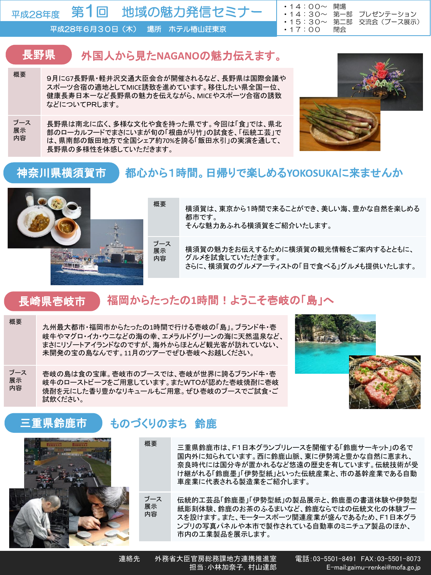第1回 地域の魅力発信セミナー 平成28年度

平成28年6月30日(木) 場所 ホテル椿山荘東京

#### 長野県 外国人から見た**NAGANO**の魅力伝えます。

- <sup>概要</sup> 9月にG7長野県・軽井沢交通大臣会合が開催されるなど、長野県は国際会議や スポーツ合宿の適地としてMICE誘致を進めています。移住したい県全国一位、 健康長寿日本一など長野県の魅力を伝えながら、MICEやスポーツ合宿の誘致 などについてPRします。
- ブース 展示 内容 長野県は南北に広く、多様な文化や食を持った県です。今回は「食」では、県北 部のローカルフードでまさにいまが旬の「根曲がり竹」の試食を、「伝統工芸」で は、県南部の飯田地方で全国シェア約70%を誇る「飯田水引」の実演を通して、 長野県の多様性を体感していただきます。



• 14:30∼ 第一部 プレゼンテーション<br>• 15:30∼ 第二部 交流会 (ブース展示

・15:30~ 第二部 交流会(ブース展示)

#### 神奈川県横須賀市 都心から1時間。日帰りで楽しめる**YOKOSUKA**に来ませんか



概要 横須賀は、東京から1時間で来ることができ、美しい海、豊かな自然を楽しめる 都市です。

・14:00~ 開場

・17:00 閉会

そんな魅力あふれる横須賀をご紹介いたします。

横須賀の魅力をお伝えするために横須賀の観光情報をご案内するとともに、 グルメを試食していただきます。 さらに、横須賀のグルメアーティストの「目で食べる」グルメも提供いたします。

#### 長崎県壱岐市 福岡からたったの**1**時間!ようこそ壱岐の「島」へ

概要 九州最大都市・福岡市からたったの1時間で行ける壱岐の「島」。ブランド牛・壱 岐牛やマグロ・イカ・ウニなどの海の幸、エメラルドグリーンの海に天然温泉など、 まさにリゾートアイランドなのですが、海外からほとんど観光客が訪れていない、 未開発の宝の島なんです。11月のツアーでぜひ壱岐へお越しください。

ブース 展示 内容 壱岐の島は食の宝庫。壱岐市のブースでは、壱岐が世界に誇るブランド牛・壱 岐牛のローストビーフをご用意しています。またWTOが認めた壱岐焼酎に壱岐 焼酎を元にした香り豊かなリキュールもご用意。ぜひ壱岐のブースでご試食・ご 試飲ください。



#### 三重県鈴鹿市 ものづくりのまち 鈴鹿



- 概要 三重県鈴鹿市は、F1日本グランプリレースを開催する「鈴鹿サーキット」の名で 国内外に知られています。西に鈴鹿山脈、東に伊勢湾と豊かな自然に恵まれ、 奈良時代には国分寺が置かれるなど悠遠の歴史を有しています。伝統技術が受 け継がれる「鈴鹿墨」「伊勢型紙」といった伝統産業と、市の基幹産業である自動 車産業に代表される製造業をご紹介します。
- ブース 展示 内容 伝統的工芸品「鈴鹿墨」「伊勢型紙」の製品展示と、鈴鹿墨の書道体験や伊勢型 紙彫刻体験、鈴鹿のお茶のふるまいなど、鈴鹿ならではの伝統文化の体験ブー スを設けます。また、モータースポーツ関連産業が盛んであるため、F1日本グラ ンプリの写真パネルや本市で製作されている自動車のミニチュア製品のほか、 市内の工業製品を展示します。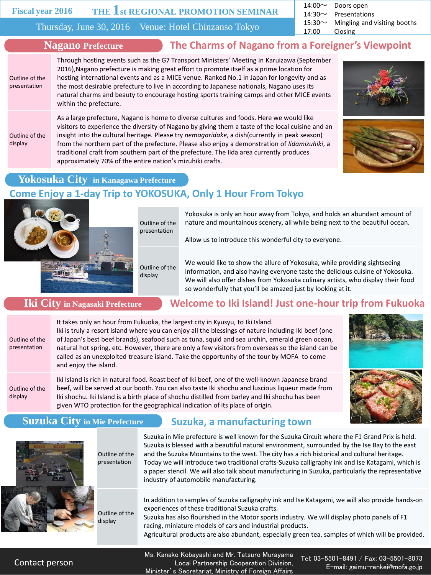#### **Fiscal year 2016**

# **THE 1st REGIONAL PROMOTION SEMINAR**

Thursday, June 30, 2016 Venue: Hotel Chinzanso Tokyo

14:00~ Doors open 14:30 $\sim$  Presentations

15:30 $\sim$  Mingling and visiting booths

17:00 Closing

within the prefecture.

## **Nagano Prefecture The Charms of Nagano from a Foreigner's Viewpoint**

Outline of the presentation

Outline of the display

As a large prefecture, Nagano is home to diverse cultures and foods. Here we would like visitors to experience the diversity of Nagano by giving them a taste of the local cuisine and an insight into the cultural heritage. Please try *nemagaridake,* a dish(currently in peak season) from the northern part of the prefecture. Please also enjoy a demonstration of *Iidamizuhiki*, a traditional craft from southern part of the prefecture. The Iida area currently produces approximately 70% of the entire nation's mizuhiki crafts.

Through hosting events such as the G7 Transport Ministers' Meeting in Karuizawa (September 2016),Nagano prefecture is making great effort to promote itself as a prime location for hosting international events and as a MICE venue. Ranked No.1 in Japan for longevity and as the most desirable prefecture to live in according to Japanese nationals, Nagano uses its natural charms and beauty to encourage hosting sports training camps and other MICE events





## **Yokosuka City in Kanagawa Prefecture**

# **Come Enjoy a 1-day Trip to YOKOSUKA, Only 1 Hour From Tokyo**



Outline of the presentation

> Outline of the display

Yokosuka is only an hour away from Tokyo, and holds an abundant amount of nature and mountainous scenery, all while being next to the beautiful ocean.

Allow us to introduce this wonderful city to everyone.

We would like to show the allure of Yokosuka, while providing sightseeing information, and also having everyone taste the delicious cuisine of Yokosuka. We will also offer dishes from Yokosuka culinary artists, who display their food so wonderfully that you'll be amazed just by looking at it.

**Iki City in Nagasaki Prefecture Welcome to Iki Island! Just one-hour trip from Fukuoka**

Outline of the presentation

It takes only an hour from Fukuoka, the largest city in Kyusyu, to Iki Island. Iki is truly a resort island where you can enjoy all the blessings of nature including Iki beef (one of Japan's best beef brands), seafood such as tuna, squid and sea urchin, emerald green ocean, natural hot spring, etc. However, there are only a few visitors from overseas so the island can be called as an unexploited treasure island. Take the opportunity of the tour by MOFA to come and enjoy the island.

Outline of the display

Iki Island is rich in natural food. Roast beef of Iki beef, one of the well-known Japanese brand beef, will be served at our booth. You can also taste Iki shochu and luscious liqueur made from Iki shochu. Iki Island is a birth place of shochu distilled from barley and Iki shochu has been given WTO protection for the geographical indication of its place of origin.



## **Suzuka City in Mie Prefecture Suzuka, a manufacturing town**



Outline of the presentation

Outline of the display

Suzuka in Mie prefecture is well known for the Suzuka Circuit where the F1 Grand Prix is held. Suzuka is blessed with a beautiful natural environment, surrounded by the Ise Bay to the east and the Suzuka Mountains to the west. The city has a rich historical and cultural heritage. Today we will introduce two traditional crafts-Suzuka calligraphy ink and Ise Katagami, which is a paper stencil. We will also talk about manufacturing in Suzuka, particularly the representative industry of automobile manufacturing.

In addition to samples of Suzuka calligraphy ink and Ise Katagami, we will also provide hands-on experiences of these traditional Suzuka crafts.

Suzuka has also flourished in the Motor sports industry. We will display photo panels of F1 racing, miniature models of cars and industrial products.

Agricultural products are also abundant, especially green tea, samples of which will be provided.

Contact person

Ms. Kanako Kobayashi and Mr. Tatsuro Murayama Local Partnership Cooperation Division, Minister's Secretariat, Ministry of Foreign Affairs

Tel: 03-5501-8491 / Fax: 03-5501-8073 E-mail: gaimu-renkei@mofa.go.jp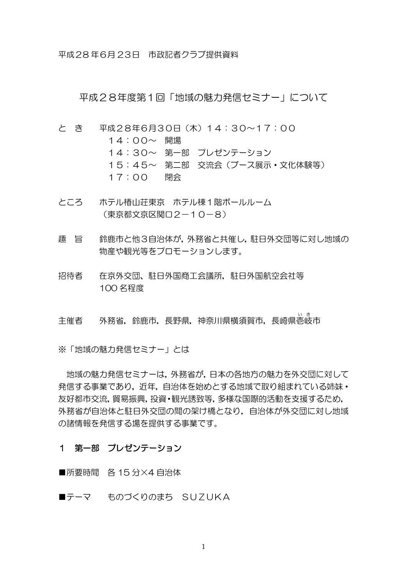平成28 年6月 23日 市政記者クラブ提供資料

平成28年度第1回「地域の魅力発信セミナー」について

- と き 平成28年6月30日(木)14:30~17:00 14:00~ 開場 14:30~ 第一部 プレゼンテーション 15:45~ 第二部 交流会(ブース展示・文化体験等) 17:00 閉会
- ところ ホテル椿山荘東京 ホテル棟1階ボールルーム (東京都文京区関口2-10-8)
- 趣 旨 鈴鹿市と他3自治体が,外務省と共催し,駐日外交団等に対し地域の 物産や観光等をプロモーションします。
- 招待者 在京外交団、駐日外国商工会議所,駐日外国航空会社等 100 名程度

、<br>主催者 外務省,鈴鹿市,長野県,神奈川県横須賀市,長崎県壱岐市

※「地域の魅力発信セミナー」とは

地域の魅力発信セミナーは,外務省が,日本の各地方の魅力を外交団に対して 発信する事業であり、近年、自治体を始めとする地域で取り組まれている姉妹・ 友好都市交流,貿易振興,投資・観光誘致等,多様な国際的活動を支援するため, 外務省が自治体と駐日外交団の間の架け橋となり,自治体が外交団に対し地域 の諸情報を発信する場を提供する事業です。

### 1 第一部 プレゼンテーション

■所要時間 各 15 分×4 自治体

■テーマ ものづくりのまち SUZUKA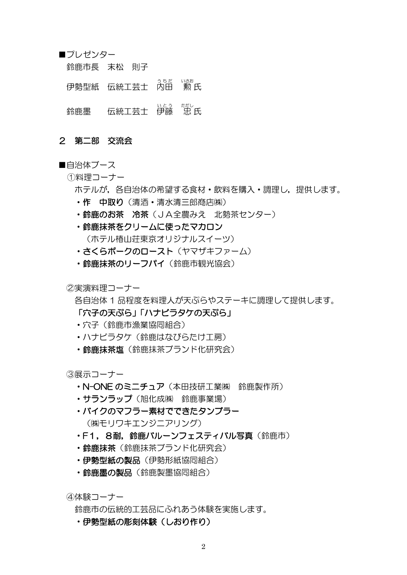■プレゼンター

鈴鹿市長 末松 則子

伊勢型紙 伝統工芸士 内田 勲 氏

。<br>鈴鹿墨 伝統工芸士 伊藤 忠 氏

### 2 第二部 交流会

## ■自治体ブース

### ①料理コーナー

- ホテルが,各自治体の希望する食材・飲料を購入・調理し,提供します。
- ・作 中取り(清酒・清水清三郎商店㈱)
- ・鈴鹿のお茶 冷茶(JA全農みえ 北勢茶センター)
- ・鈴鹿抹茶をクリームに使ったマカロン (ホテル椿山荘東京オリジナルスイーツ)
- ・さくらポークのロースト(ヤマザキファーム)
- ・鈴鹿抹茶のリーフパイ(鈴鹿市観光協会)

②実演料理コーナー

各自治体 1 品程度を料理人が天ぷらやステーキに調理して提供します。 「穴子の天ぷら」「ハナビラタケの天ぷら」

- ・穴子(鈴鹿市漁業協同組合)
- ・ハナビラタケ(鈴鹿はなびらたけ工房)
- 鈴鹿抹茶はランド化研究会)

③展示コーナー

- ・N-ONE のミニチュア(本田技研工業㈱ 鈴鹿製作所)
- ・サランラップ(旭化成㈱ 鈴鹿事業場)
- ・バイクのマフラー素材でできたタンブラー (㈱モリワキエンジニアリング)
- ·F1. 8耐. 鈴鹿バルーンフェスティバル写真(鈴鹿市)
- 鈴鹿抹茶 (鈴鹿抹茶ブランド化研究会)
- •伊勢型紙の製品(伊勢形紙協同組合)
- · 給鹿墨の製品(鈴鹿製墨協同組合)

④体験コーナー

鈴鹿市の伝統的工芸品にふれあう体験を実施します。

・伊勢型紙の彫刻体験(しおり作り)